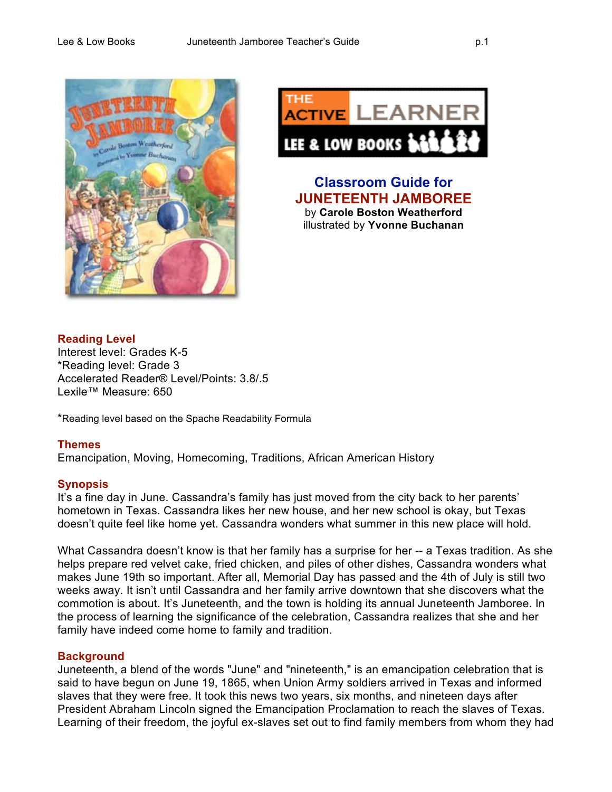



**Classroom Guide for JUNETEENTH JAMBOREE** by **Carole Boston Weatherford** illustrated by **Yvonne Buchanan**

# **Reading Level**

Interest level: Grades K-5 \*Reading level: Grade 3 Accelerated Reader® Level/Points: 3.8/.5 Lexile™ Measure: 650

\*Reading level based on the Spache Readability Formula

## **Themes**

Emancipation, Moving, Homecoming, Traditions, African American History

## **Synopsis**

It's a fine day in June. Cassandra's family has just moved from the city back to her parents' hometown in Texas. Cassandra likes her new house, and her new school is okay, but Texas doesn't quite feel like home yet. Cassandra wonders what summer in this new place will hold.

What Cassandra doesn't know is that her family has a surprise for her -- a Texas tradition. As she helps prepare red velvet cake, fried chicken, and piles of other dishes, Cassandra wonders what makes June 19th so important. After all, Memorial Day has passed and the 4th of July is still two weeks away. It isn't until Cassandra and her family arrive downtown that she discovers what the commotion is about. It's Juneteenth, and the town is holding its annual Juneteenth Jamboree. In the process of learning the significance of the celebration, Cassandra realizes that she and her family have indeed come home to family and tradition.

## **Background**

Juneteenth, a blend of the words "June" and "nineteenth," is an emancipation celebration that is said to have begun on June 19, 1865, when Union Army soldiers arrived in Texas and informed slaves that they were free. It took this news two years, six months, and nineteen days after President Abraham Lincoln signed the Emancipation Proclamation to reach the slaves of Texas. Learning of their freedom, the joyful ex-slaves set out to find family members from whom they had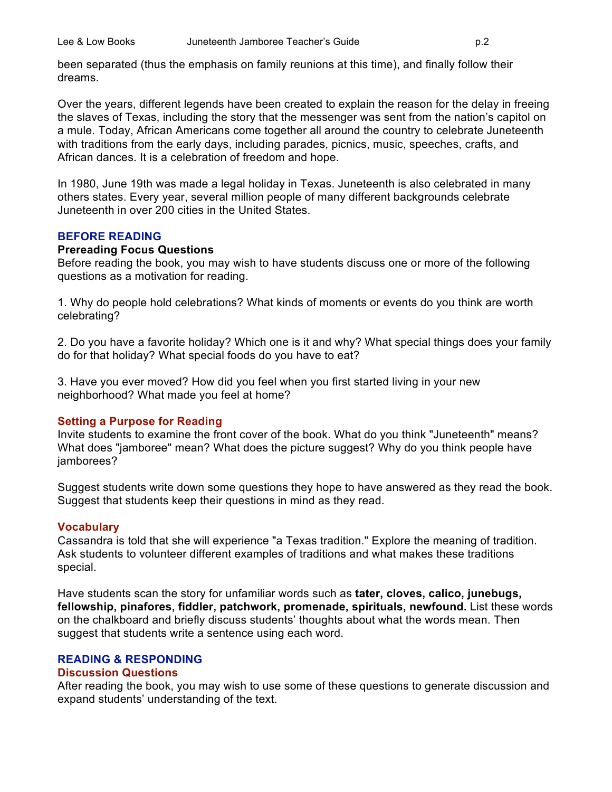been separated (thus the emphasis on family reunions at this time), and finally follow their dreams.

Over the years, different legends have been created to explain the reason for the delay in freeing the slaves of Texas, including the story that the messenger was sent from the nation's capitol on a mule. Today, African Americans come together all around the country to celebrate Juneteenth with traditions from the early days, including parades, picnics, music, speeches, crafts, and African dances. It is a celebration of freedom and hope.

In 1980, June 19th was made a legal holiday in Texas. Juneteenth is also celebrated in many others states. Every year, several million people of many different backgrounds celebrate Juneteenth in over 200 cities in the United States.

#### **BEFORE READING**

#### **Prereading Focus Questions**

Before reading the book, you may wish to have students discuss one or more of the following questions as a motivation for reading.

1. Why do people hold celebrations? What kinds of moments or events do you think are worth celebrating?

2. Do you have a favorite holiday? Which one is it and why? What special things does your family do for that holiday? What special foods do you have to eat?

3. Have you ever moved? How did you feel when you first started living in your new neighborhood? What made you feel at home?

## **Setting a Purpose for Reading**

Invite students to examine the front cover of the book. What do you think "Juneteenth" means? What does "jamboree" mean? What does the picture suggest? Why do you think people have jamborees?

Suggest students write down some questions they hope to have answered as they read the book. Suggest that students keep their questions in mind as they read.

#### **Vocabulary**

Cassandra is told that she will experience "a Texas tradition." Explore the meaning of tradition. Ask students to volunteer different examples of traditions and what makes these traditions special.

Have students scan the story for unfamiliar words such as **tater, cloves, calico, junebugs, fellowship, pinafores, fiddler, patchwork, promenade, spirituals, newfound.** List these words on the chalkboard and briefly discuss students' thoughts about what the words mean. Then suggest that students write a sentence using each word.

#### **READING & RESPONDING**

#### **Discussion Questions**

After reading the book, you may wish to use some of these questions to generate discussion and expand students' understanding of the text.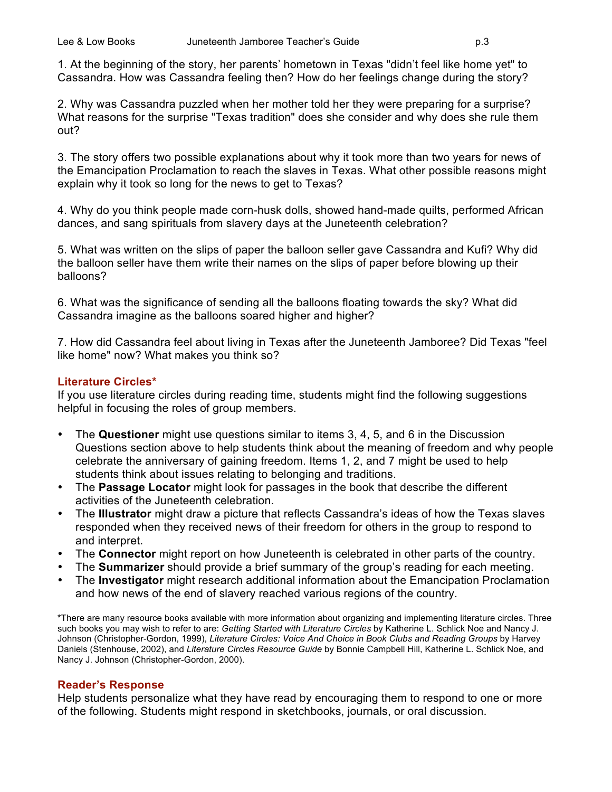1. At the beginning of the story, her parents' hometown in Texas "didn't feel like home yet" to Cassandra. How was Cassandra feeling then? How do her feelings change during the story?

2. Why was Cassandra puzzled when her mother told her they were preparing for a surprise? What reasons for the surprise "Texas tradition" does she consider and why does she rule them out?

3. The story offers two possible explanations about why it took more than two years for news of the Emancipation Proclamation to reach the slaves in Texas. What other possible reasons might explain why it took so long for the news to get to Texas?

4. Why do you think people made corn-husk dolls, showed hand-made quilts, performed African dances, and sang spirituals from slavery days at the Juneteenth celebration?

5. What was written on the slips of paper the balloon seller gave Cassandra and Kufi? Why did the balloon seller have them write their names on the slips of paper before blowing up their balloons?

6. What was the significance of sending all the balloons floating towards the sky? What did Cassandra imagine as the balloons soared higher and higher?

7. How did Cassandra feel about living in Texas after the Juneteenth Jamboree? Did Texas "feel like home" now? What makes you think so?

## **Literature Circles\***

If you use literature circles during reading time, students might find the following suggestions helpful in focusing the roles of group members.

- The **Questioner** might use questions similar to items 3, 4, 5, and 6 in the Discussion Questions section above to help students think about the meaning of freedom and why people celebrate the anniversary of gaining freedom. Items 1, 2, and 7 might be used to help students think about issues relating to belonging and traditions.
- The **Passage Locator** might look for passages in the book that describe the different activities of the Juneteenth celebration.
- The **Illustrator** might draw a picture that reflects Cassandra's ideas of how the Texas slaves responded when they received news of their freedom for others in the group to respond to and interpret.
- The **Connector** might report on how Juneteenth is celebrated in other parts of the country.
- The **Summarizer** should provide a brief summary of the group's reading for each meeting.
- The **Investigator** might research additional information about the Emancipation Proclamation and how news of the end of slavery reached various regions of the country.

**\***There are many resource books available with more information about organizing and implementing literature circles. Three such books you may wish to refer to are: *Getting Started with Literature Circles* by Katherine L. Schlick Noe and Nancy J. Johnson (Christopher-Gordon, 1999), *Literature Circles: Voice And Choice in Book Clubs and Reading Groups* by Harvey Daniels (Stenhouse, 2002), and *Literature Circles Resource Guide* by Bonnie Campbell Hill, Katherine L. Schlick Noe, and Nancy J. Johnson (Christopher-Gordon, 2000).

## **Reader's Response**

Help students personalize what they have read by encouraging them to respond to one or more of the following. Students might respond in sketchbooks, journals, or oral discussion.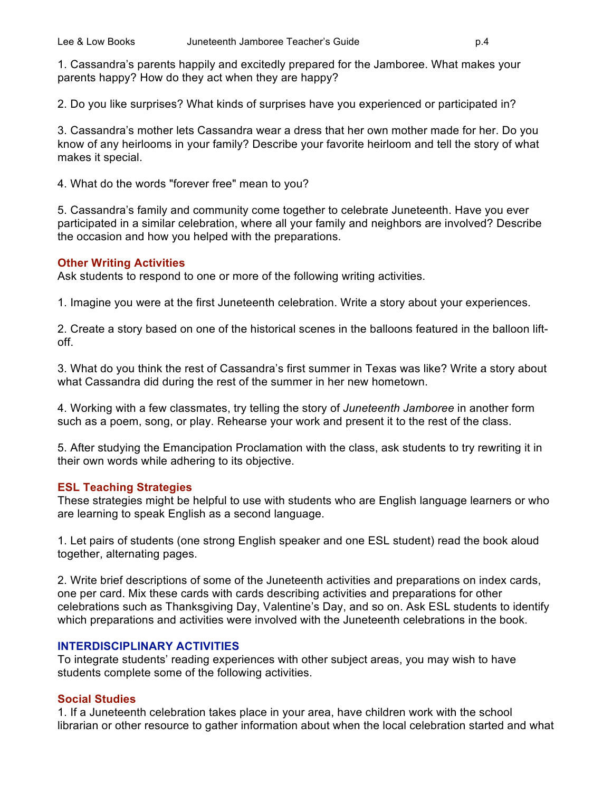1. Cassandra's parents happily and excitedly prepared for the Jamboree. What makes your parents happy? How do they act when they are happy?

2. Do you like surprises? What kinds of surprises have you experienced or participated in?

3. Cassandra's mother lets Cassandra wear a dress that her own mother made for her. Do you know of any heirlooms in your family? Describe your favorite heirloom and tell the story of what makes it special.

4. What do the words "forever free" mean to you?

5. Cassandra's family and community come together to celebrate Juneteenth. Have you ever participated in a similar celebration, where all your family and neighbors are involved? Describe the occasion and how you helped with the preparations.

#### **Other Writing Activities**

Ask students to respond to one or more of the following writing activities.

1. Imagine you were at the first Juneteenth celebration. Write a story about your experiences.

2. Create a story based on one of the historical scenes in the balloons featured in the balloon liftoff.

3. What do you think the rest of Cassandra's first summer in Texas was like? Write a story about what Cassandra did during the rest of the summer in her new hometown.

4. Working with a few classmates, try telling the story of *Juneteenth Jamboree* in another form such as a poem, song, or play. Rehearse your work and present it to the rest of the class.

5. After studying the Emancipation Proclamation with the class, ask students to try rewriting it in their own words while adhering to its objective.

## **ESL Teaching Strategies**

These strategies might be helpful to use with students who are English language learners or who are learning to speak English as a second language.

1. Let pairs of students (one strong English speaker and one ESL student) read the book aloud together, alternating pages.

2. Write brief descriptions of some of the Juneteenth activities and preparations on index cards, one per card. Mix these cards with cards describing activities and preparations for other celebrations such as Thanksgiving Day, Valentine's Day, and so on. Ask ESL students to identify which preparations and activities were involved with the Juneteenth celebrations in the book.

## **INTERDISCIPLINARY ACTIVITIES**

To integrate students' reading experiences with other subject areas, you may wish to have students complete some of the following activities.

## **Social Studies**

1. If a Juneteenth celebration takes place in your area, have children work with the school librarian or other resource to gather information about when the local celebration started and what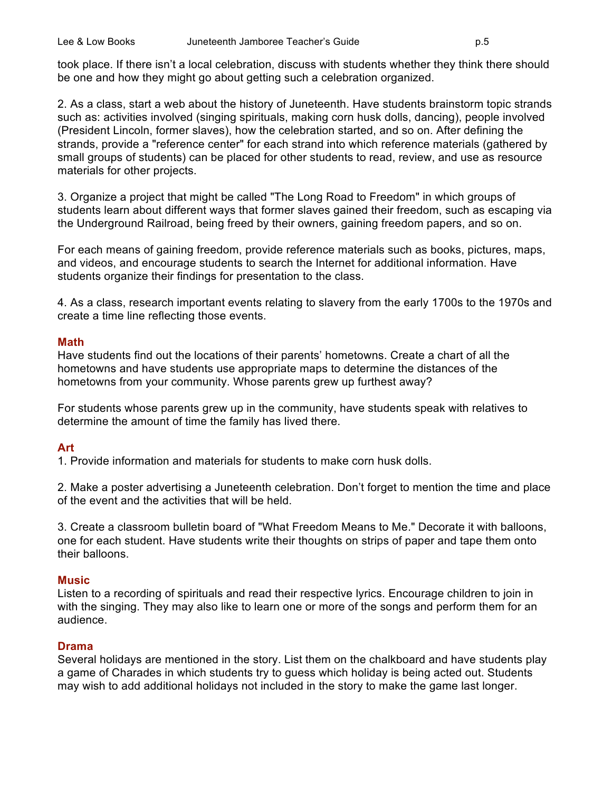took place. If there isn't a local celebration, discuss with students whether they think there should be one and how they might go about getting such a celebration organized.

2. As a class, start a web about the history of Juneteenth. Have students brainstorm topic strands such as: activities involved (singing spirituals, making corn husk dolls, dancing), people involved (President Lincoln, former slaves), how the celebration started, and so on. After defining the strands, provide a "reference center" for each strand into which reference materials (gathered by small groups of students) can be placed for other students to read, review, and use as resource materials for other projects.

3. Organize a project that might be called "The Long Road to Freedom" in which groups of students learn about different ways that former slaves gained their freedom, such as escaping via the Underground Railroad, being freed by their owners, gaining freedom papers, and so on.

For each means of gaining freedom, provide reference materials such as books, pictures, maps, and videos, and encourage students to search the Internet for additional information. Have students organize their findings for presentation to the class.

4. As a class, research important events relating to slavery from the early 1700s to the 1970s and create a time line reflecting those events.

#### **Math**

Have students find out the locations of their parents' hometowns. Create a chart of all the hometowns and have students use appropriate maps to determine the distances of the hometowns from your community. Whose parents grew up furthest away?

For students whose parents grew up in the community, have students speak with relatives to determine the amount of time the family has lived there.

#### **Art**

1. Provide information and materials for students to make corn husk dolls.

2. Make a poster advertising a Juneteenth celebration. Don't forget to mention the time and place of the event and the activities that will be held.

3. Create a classroom bulletin board of "What Freedom Means to Me." Decorate it with balloons, one for each student. Have students write their thoughts on strips of paper and tape them onto their balloons.

#### **Music**

Listen to a recording of spirituals and read their respective lyrics. Encourage children to join in with the singing. They may also like to learn one or more of the songs and perform them for an audience.

#### **Drama**

Several holidays are mentioned in the story. List them on the chalkboard and have students play a game of Charades in which students try to guess which holiday is being acted out. Students may wish to add additional holidays not included in the story to make the game last longer.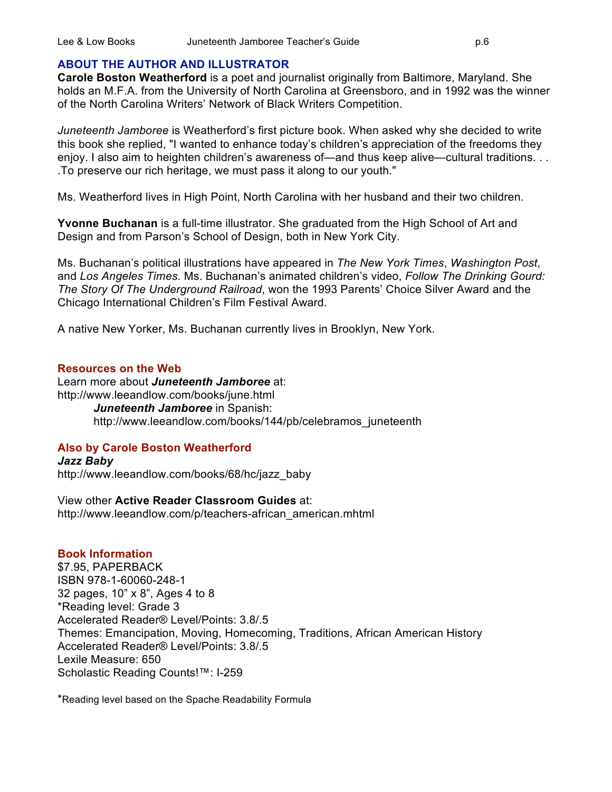## **ABOUT THE AUTHOR AND ILLUSTRATOR**

**Carole Boston Weatherford** is a poet and journalist originally from Baltimore, Maryland. She holds an M.F.A. from the University of North Carolina at Greensboro, and in 1992 was the winner of the North Carolina Writers' Network of Black Writers Competition.

*Juneteenth Jamboree* is Weatherford's first picture book. When asked why she decided to write this book she replied, "I wanted to enhance today's children's appreciation of the freedoms they enjoy. I also aim to heighten children's awareness of—and thus keep alive—cultural traditions. . . .To preserve our rich heritage, we must pass it along to our youth."

Ms. Weatherford lives in High Point, North Carolina with her husband and their two children.

**Yvonne Buchanan** is a full-time illustrator. She graduated from the High School of Art and Design and from Parson's School of Design, both in New York City.

Ms. Buchanan's political illustrations have appeared in *The New York Times*, *Washington Post*, and *Los Angeles Times*. Ms. Buchanan's animated children's video, *Follow The Drinking Gourd: The Story Of The Underground Railroad*, won the 1993 Parents' Choice Silver Award and the Chicago International Children's Film Festival Award.

A native New Yorker, Ms. Buchanan currently lives in Brooklyn, New York.

## **Resources on the Web**

Learn more about *Juneteenth Jamboree* at: http://www.leeandlow.com/books/june.html *Juneteenth Jamboree* in Spanish: http://www.leeandlow.com/books/144/pb/celebramos\_juneteenth

## **Also by Carole Boston Weatherford**

*Jazz Baby* http://www.leeandlow.com/books/68/hc/jazz\_baby

View other **Active Reader Classroom Guides** at: http://www.leeandlow.com/p/teachers-african\_american.mhtml

## **Book Information**

\$7.95, PAPERBACK ISBN 978-1-60060-248-1 32 pages, 10" x 8", Ages 4 to 8 \*Reading level: Grade 3 Accelerated Reader® Level/Points: 3.8/.5 Themes: Emancipation, Moving, Homecoming, Traditions, African American History Accelerated Reader® Level/Points: 3.8/.5 Lexile Measure: 650 Scholastic Reading Counts!™: I-259

\*Reading level based on the Spache Readability Formula